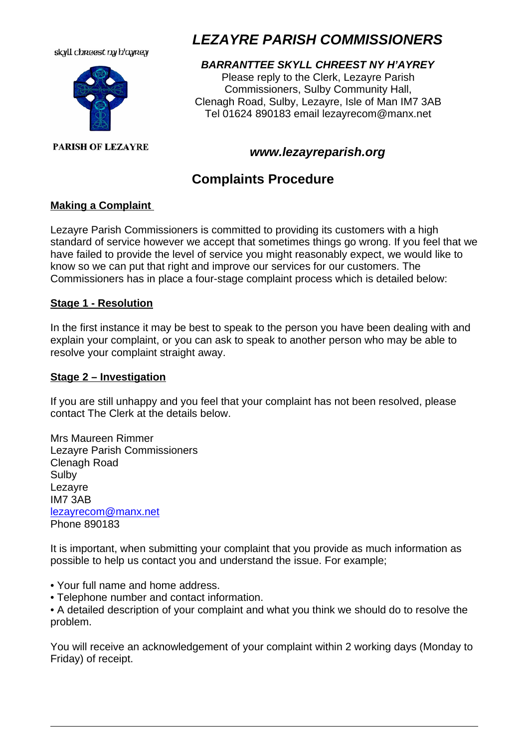#### skyll chreest ny h'ayrey



#### **PARISH OF LEZAYRE**

# *LEZAYRE PARISH COMMISSIONERS*

# *BARRANTTEE SKYLL CHREEST NY H'AYREY*

Please reply to the Clerk, Lezayre Parish Commissioners, Sulby Community Hall, Clenagh Road, Sulby, Lezayre, Isle of Man IM7 3AB Tel 01624 890183 email lezayrecom@manx.net

# *www.lezayreparish.org*

# **Complaints Procedure**

### **Making a Complaint**

Lezayre Parish Commissioners is committed to providing its customers with a high standard of service however we accept that sometimes things go wrong. If you feel that we have failed to provide the level of service you might reasonably expect, we would like to know so we can put that right and improve our services for our customers. The Commissioners has in place a four-stage complaint process which is detailed below:

#### **Stage 1 - Resolution**

In the first instance it may be best to speak to the person you have been dealing with and explain your complaint, or you can ask to speak to another person who may be able to resolve your complaint straight away.

#### **Stage 2 – Investigation**

If you are still unhappy and you feel that your complaint has not been resolved, please contact The Clerk at the details below.

Mrs Maureen Rimmer Lezayre Parish Commissioners Clenagh Road Sulby Lezayre IM7 3AB lezayrecom@manx.net Phone 890183

It is important, when submitting your complaint that you provide as much information as possible to help us contact you and understand the issue. For example;

- Your full name and home address.
- Telephone number and contact information.

• A detailed description of your complaint and what you think we should do to resolve the problem.

You will receive an acknowledgement of your complaint within 2 working days (Monday to Friday) of receipt.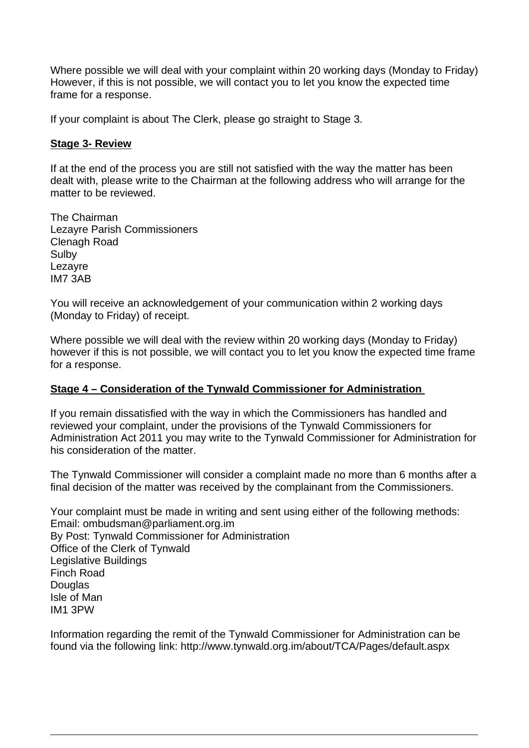Where possible we will deal with your complaint within 20 working days (Monday to Friday) However, if this is not possible, we will contact you to let you know the expected time frame for a response.

If your complaint is about The Clerk, please go straight to Stage 3.

#### **Stage 3- Review**

If at the end of the process you are still not satisfied with the way the matter has been dealt with, please write to the Chairman at the following address who will arrange for the matter to be reviewed.

The Chairman Lezayre Parish Commissioners Clenagh Road Sulby Lezayre IM7 3AB

You will receive an acknowledgement of your communication within 2 working days (Monday to Friday) of receipt.

Where possible we will deal with the review within 20 working days (Monday to Friday) however if this is not possible, we will contact you to let you know the expected time frame for a response.

#### **Stage 4 – Consideration of the Tynwald Commissioner for Administration**

If you remain dissatisfied with the way in which the Commissioners has handled and reviewed your complaint, under the provisions of the Tynwald Commissioners for Administration Act 2011 you may write to the Tynwald Commissioner for Administration for his consideration of the matter.

The Tynwald Commissioner will consider a complaint made no more than 6 months after a final decision of the matter was received by the complainant from the Commissioners.

Your complaint must be made in writing and sent using either of the following methods: Email: ombudsman@parliament.org.im By Post: Tynwald Commissioner for Administration Office of the Clerk of Tynwald Legislative Buildings Finch Road **Douglas** Isle of Man IM1 3PW

Information regarding the remit of the Tynwald Commissioner for Administration can be found via the following link: http://www.tynwald.org.im/about/TCA/Pages/default.aspx